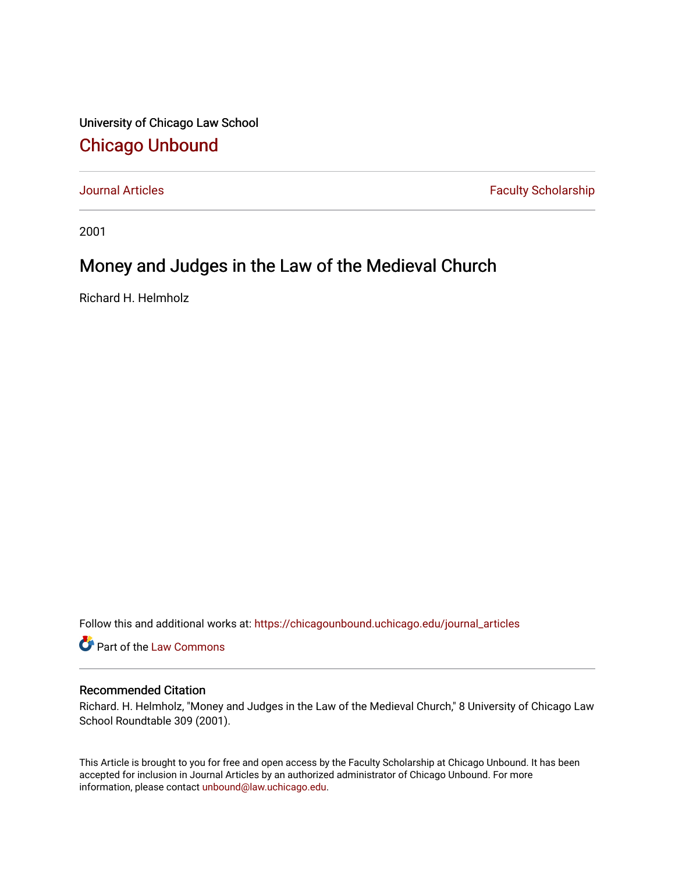University of Chicago Law School [Chicago Unbound](https://chicagounbound.uchicago.edu/)

[Journal Articles](https://chicagounbound.uchicago.edu/journal_articles) **Faculty Scholarship Faculty Scholarship** 

2001

# Money and Judges in the Law of the Medieval Church

Richard H. Helmholz

Follow this and additional works at: [https://chicagounbound.uchicago.edu/journal\\_articles](https://chicagounbound.uchicago.edu/journal_articles?utm_source=chicagounbound.uchicago.edu%2Fjournal_articles%2F1489&utm_medium=PDF&utm_campaign=PDFCoverPages) 

Part of the [Law Commons](http://network.bepress.com/hgg/discipline/578?utm_source=chicagounbound.uchicago.edu%2Fjournal_articles%2F1489&utm_medium=PDF&utm_campaign=PDFCoverPages)

# Recommended Citation

Richard. H. Helmholz, "Money and Judges in the Law of the Medieval Church," 8 University of Chicago Law School Roundtable 309 (2001).

This Article is brought to you for free and open access by the Faculty Scholarship at Chicago Unbound. It has been accepted for inclusion in Journal Articles by an authorized administrator of Chicago Unbound. For more information, please contact [unbound@law.uchicago.edu](mailto:unbound@law.uchicago.edu).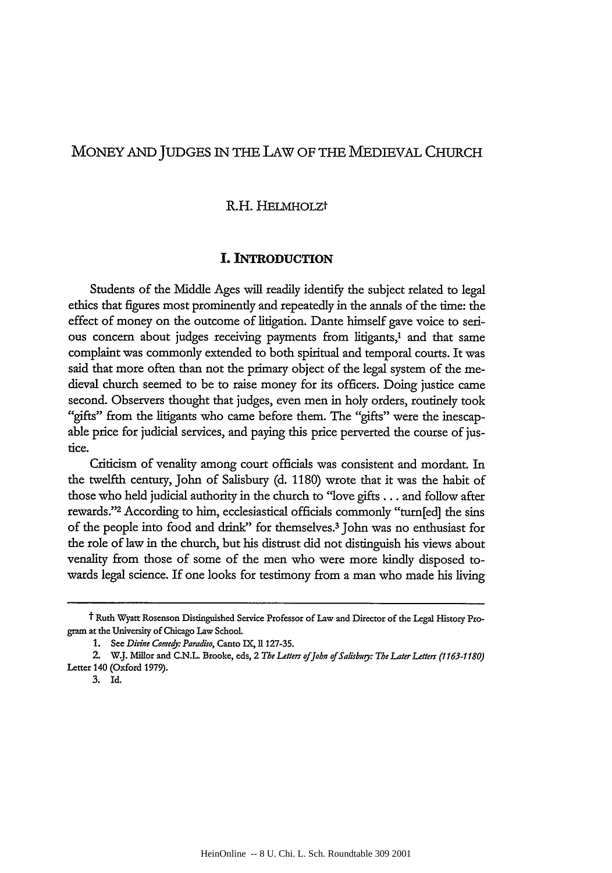# MONEY AND JUDGES IN THE LAW OF THE MEDIEVAL CHURCH

# KH. HELMHOLZt

#### **I. INTRODUCTION**

Students of the Middle Ages will readily identify the subject related to legal ethics that figures most prominently and repeatedly in the annals of the time: the effect of money on the outcome of litigation. Dante himself gave voice to serious concern about judges receiving payments from litigants,<sup>1</sup> and that same complaint was commonly extended to both spiritual and temporal courts. It was said that more often than not the primary object of the legal system of the medieval church seemed to be to raise money for its officers. Doing justice came second. Observers thought that judges, even men in holy orders, routinely took "gifts" from the litigants who came before them. The "gifts" were the inescapable price for judicial services, and paying this price perverted the course of justice.

Criticism of venality among court officials was consistent and mordant. In the twelfth century, John of Salisbury (d. 1180) wrote that it was the habit of those who held judicial authority in the church to "love gifts... and follow after rewards."<sup>2</sup> According to him, ecclesiastical officials commonly "turn[ed] the sins of the people into food and drink" for themselves.3 John was no enthusiast for the role of law in the church, but his distrust did not distinguish his views about venality from those of some of the men who were more kindly disposed towards legal science. If one looks for testimony from a man who made his living

**t** Ruth Wyatt **Rosenson Distinguished Service** Professor **of Law and Director of the Legal History Program at the University of Chicago Law SchooL**

**<sup>1.</sup> See** *Didne* Comedj: *Paradiso,* Canto **IX, i1127-35.**

**<sup>2.</sup>** W.J. Millor **and C.N.L.** Brooke, eds, 2 *The* Leters *ofJohn of Salisbury: The Later* Letters **(1163-1180)** Letter **140** (Oxford **1979).**

**<sup>3.</sup> Id.**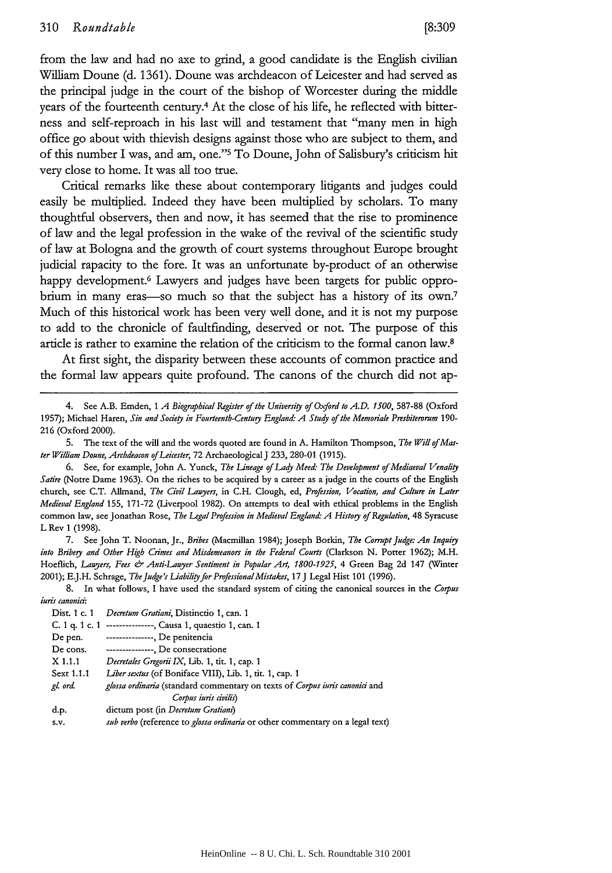from the law and had no axe to grind, a good candidate is the English civilian William Doune (d. 1361). Doune was archdeacon of Leicester and had served as the principal judge in the court of the bishop of Worcester during the middle years of the fourteenth century.4 At the close of his life, he reflected with bitterness and self-reproach in his last will and testament that "many men in high office go about with thievish designs against those who are subject to them, and of this number I was, and am, one."'5 To Doune, John of Salisbury's criticism hit very close to home. It was all too true.

Critical remarks like these about contemporary litigants and judges could easily be multiplied. Indeed they have been multiplied by scholars. To many thoughtful observers, then and now, it has seemed that the rise to prominence of law and the legal profession in the wake of the revival of the scientific study of law at Bologna and the growth of court systems throughout Europe brought judicial rapacity to the fore. It was an unfortunate by-product of an otherwise happy development.<sup>6</sup> Lawyers and judges have been targets for public opprobrium in many eras-so much so that the subject has a history of its own.<sup>7</sup> Much of this historical work has been very well done, and it is not my purpose to add to the chronicle of faultfinding, deserved or not. The purpose of this article is rather to examine the relation of the criticism to the formal canon law.8

At first sight, the disparity between these accounts of common practice and the formal law appears quite profound. The canons of the church did not ap-

7. See John T. Noonan, Jr., *Bribes* (Macmillan 1984); Joseph Borkin, *The Comrpt Judge: An Inquiy into Bribery and Other High Crimes and Misdemeanors in the Federal Courts* (Clarkson N. Potter **1962);** M.H. Hoeflich, *Lawyers, Fees & Anti-Lawyer Sentiment in Popular Art, 1800-1925,* 4 Green Bag 2d 147 (Winter 2001); E.J.H. Schrage, *The Judge"s Liabilityfor Professional Mistakes,* 17 J Legal Hist **101 (1996).**

8. In what follows, I have used the standard system of citing the canonical sources in the *Corpus* iuris *canoni:* Dist. **1** c. **1** *Decretur Gratiani,* Distinctio **1,** can. **1**

| Dist. 1 c. 1 | Decretum Gratiani, Distinctio 1, can. 1                                       |
|--------------|-------------------------------------------------------------------------------|
|              | C. 1 q. 1 c. 1 ---------------, Causa 1, quaestio 1, can. 1                   |
| De pen.      | --------------, De penitencia                                                 |
| De cons.     | ---------------, De consecratione                                             |
| $X$ 1.1.1    | Decretales Gregorii IX, Lib. 1, tit. 1, cap. 1                                |
| Sext 1.1.1   | Liber sextus (of Boniface VIII), Lib. 1, tit. 1, cap. 1                       |
| gl. ord.     | glossa ordinaria (standard commentary on texts of Corpus iuris canonici and   |
|              | Corpus iuris civilis)                                                         |
| d.p.         | dictum post (in Decretum Gratiani)                                            |
| S.V.         | sub verbo (reference to glossa ordinaria or other commentary on a legal text) |

<sup>4.</sup> See A.B. Emden, **1** *A Biographical Register of the University of Oxford to A.D. 1500,* 587-88 (Oxford 1957); Michael Haren, *Sin and Society in Fourteenth-Centuty England. A Study of the Memoriale Presbiterorum* 190- 216 (Oxford 2000).

<sup>5.</sup> The text of the will and the words quoted are found in A. Hamilton Thompson, *The Will of Master William Doune, Archdeacon of Leicester,* 72 Archaeological J 233, 280-01 (1915).

<sup>6.</sup> See, for example, John A. Yunck, *The Lineage of Lady Meed" The Development of Mediaeval Venality Satire* (Notre Dame 1963). On the riches to be acquired by a career as a judge in the courts of the English church, see C.T. Allmand, *The Civil Lawyers,* in C.H. Clough, ed, *Profession, Vocatiou, and Culture in Later Medieval England* 155, 171-72 (Liverpool 1982). On attempts to deal with ethical problems in the English common law, see Jonathan Rose, *The* Legal *Profession in Medieval England A Histog of Regulation,* 48 Syracuse L Rev 1 (1998).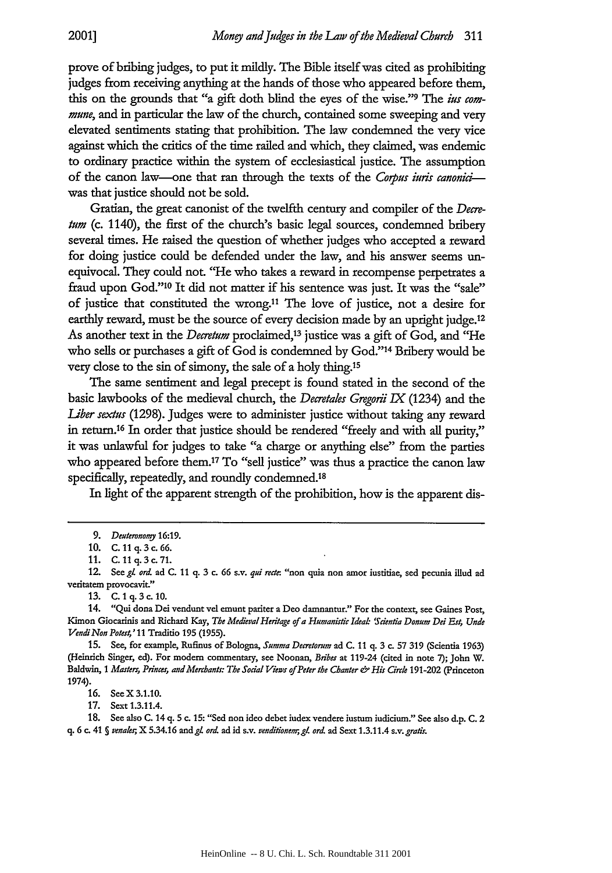prove of bribing judges, to put it mildly. The Bible itself was cited as prohibiting judges from receiving anything at the hands of those who appeared before them, this on the grounds that "a gift doth blind the eyes of the wise."9 The *ius commune,* and in particular the law of the church, contained some sweeping and very elevated sentiments stating that prohibition. The law condemned the very vice against which the critics of the time railed and which, they claimed, was endemic to ordinary practice within the system of ecclesiastical justice. The assumption of the canon law—one that ran through the texts of the *Corpus iuris canonici* was that justice should not be sold.

Gratian, the great canonist of the twelfth century and compiler of the *Decretum* (c. 1140), the first of the church's basic legal sources, condemned bribery several times. He raised the question of whether judges who accepted a reward for doing justice could be defended under the law, and his answer seems unequivocal. They could not. "He who takes a reward in recompense perpetrates a fraud upon God."<sup>10</sup> It did not matter if his sentence was just. It was the "sale" of justice that constituted the wrong.<sup>11</sup> The love of justice, not a desire for earthly reward, must be the source of every decision made by an upright judge.12 As another text in the *Decretum* proclaimed,<sup>13</sup> justice was a gift of God, and "He who sells or purchases a gift of God is condemned by God."'14 Bribery would be very close to the sin of simony, the sale of a holy thing.<sup>15</sup>

The same sentiment and legal precept is found stated in the second of the basic lawbooks of the medieval church, the *Decretales Gregoii IX* (1234) and the *Liber sextus* (1298). Judges were to administer justice without taking any reward in return. 16 In order that justice should be rendered "freely and with all purity," it was unlawful for judges to take "a charge or anything else" from the parties who appeared before them.<sup>17</sup> To "sell justice" was thus a practice the canon law specifically, repeatedly, and roundly condemned.'<sup>8</sup>

In light of the apparent strength of the prohibition, how is the apparent dis-

**13. C. 1 q. 3** c. **10.**

16. See X 3.1.10.

17. Sext 1.3.11.4.

18. See also C. 14 q. 5 c. 15: "Sed non ideo debet iudex vendere iustun iudicium." See also d.p. C. 2 q. 6 c. 41 *5 venalea;,* X 5.34.16 and **gL** or. ad id s.v. *venditionem;,gL ord.* ad Sext 1.3.11.4 s.v. *gratis.*

*<sup>9.</sup> Deuteronomiy* 16:19.

<sup>10.</sup> C. 11 q. 3 c. 66.

<sup>11.</sup> C.11q.3c.71.

<sup>12.</sup> See gl. ord. ad C. 11 q. 3 c. 66 s.v. qui rede: "non quia non amor iustitiae, sed pecunia illud ad veritatem provocavit."

<sup>14. &</sup>quot;Qui dona Dei vendunt vel emunt pariter a Deo damnantur." For the context, **see** Gaines Post, Kimon Giocarinis and Richard Kay, *The Medieval Heritage of a Humanistic Ideak 'Sdentia Donum* Dei **Est,** *Unde Vendi Non Potest,' 11* Traditio **195** (1955).

<sup>15.</sup> See, for example, Rufinus of Bologna, *Summa Decretorum* ad C. 11 q. 3 c. 57 319 (Scientia 1963) (Heinrich Singer, ed). For modem commentary, see Noonan, *Bribes* at 119-24 (cited in note 7); John W. Baldwin, 1 *Masters, Princes, and Merchants: The Social Views of Peter the Chanter & His Circle* 191-202 (Princeton 1974).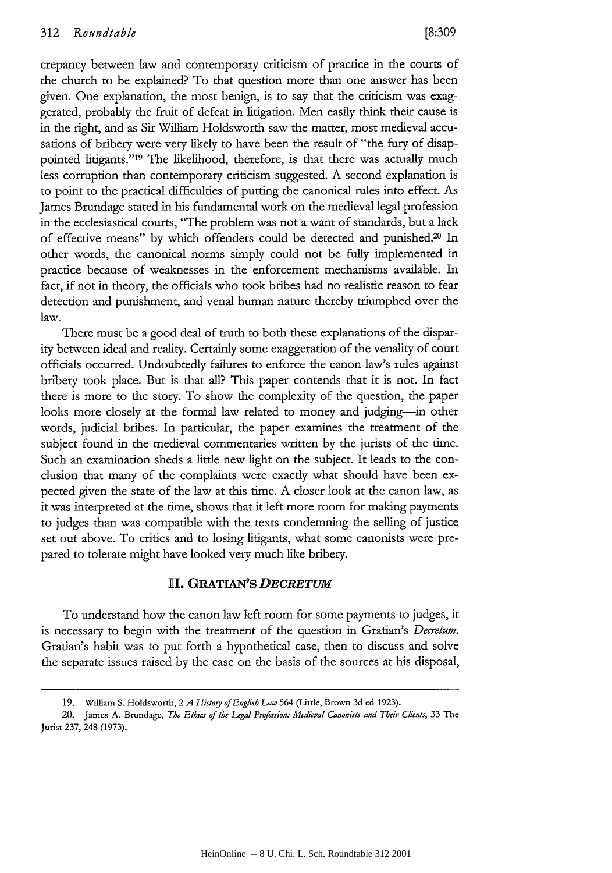crepancy between law and contemporary criticism of practice in the courts of the church to be explained? To that question more than one answer has been given. One explanation, the most benign, is to say that the criticism was exaggerated, probably the fruit of defeat in litigation. Men easily think their cause is in the right, and as Sir William Holdsworth saw the matter, most medieval accusations of bribery were very likely to have been the result of "the fury of disappointed litigants."<sup>19</sup> The likelihood, therefore, is that there was actually much less corruption than contemporary criticism suggested. A second explanation is to point to the practical difficulties of putting the canonical rules into effect. As James Brundage stated in his fundamental work on the medieval legal profession in the ecclesiastical courts, "The problem was not a want of standards, but a lack of effective means" by which offenders could be detected and punished.20 In other words, the canonical norms simply could not be fully implemented in practice because of weaknesses in the enforcement mechanisms available. In fact, if not in theory, the officials who took bribes had no realistic reason to fear detection and punishment, and venal human nature thereby triumphed over the law.

There must be a good deal of truth to both these explanations of the disparity between ideal and reality. Certainly some exaggeration of the venality of court officials occurred. Undoubtedly failures to enforce the canon law's rules against bribery took place. But is that all? This paper contends that it is not. In fact there is more to the story. To show the complexity of the question, the paper looks more closely at the formal law related to money and judging-in other words, judicial bribes. In particular, the paper examines the treatment of the subject found in the medieval commentaries written by the jurists of the time. Such an examination sheds a little new light on the subject. It leads to the conclusion that many of the complaints were exactly what should have been expected given the state of the law at this time. A closer look at the canon law, as it was interpreted at the time, shows that it left more room for making payments to judges than was compatible with the texts condemning the selling of justice set out above. To critics and to losing litigants, what some canonists were prepared to tolerate might have looked very much like bribery.

## **II. GRATIAN'S** *DECRETUM*

To understand how the canon law left room for some payments to judges, it is necessary to begin with the treatment of the question in Gratian's *Decretum.* Gratian's habit was to put forth a hypothetical case, then to discuss and solve the separate issues raised by the case on the basis of the sources at his disposal,

<sup>19.</sup> William S. Holdsworth, 2 *A* Histogy *of* English *Law* 564 (Little, Brown 3d ed 1923).

<sup>20.</sup> James A. Brundage, *The Ethics of* the *Legal Profession: Medieval Canonists and Their Clients,* 33 The Jurist 237, 248 (1973).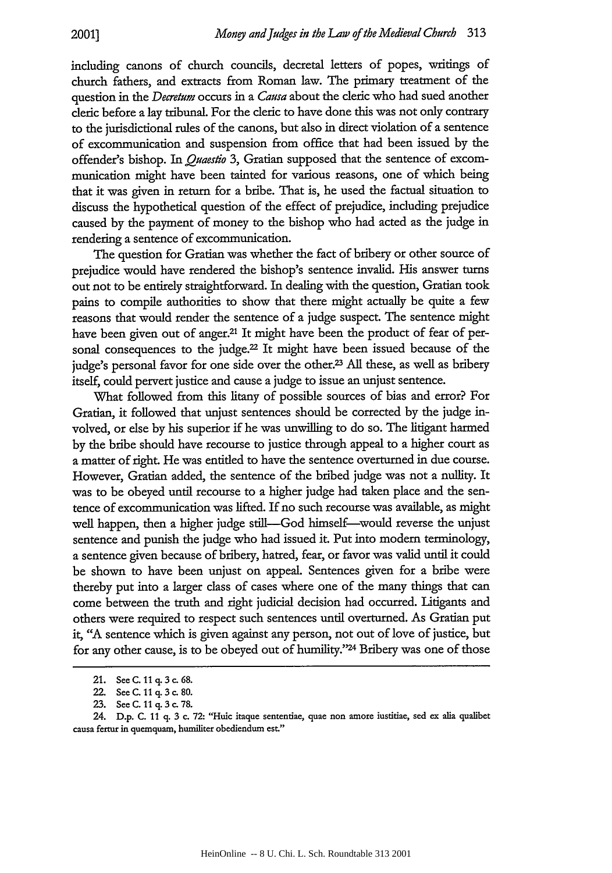including canons of church councils, decretal letters of popes, writings of church fathers, and extracts from Roman law. The primary treatment of the question in the *Decretum* occurs in a *Causa* about the deric who had sued another cleric before a lay tribunal. For the deric to have done this was not only contrary to the jurisdictional rules of the canons, but also in direct violation of a sentence of excommunication and suspension from office that had been issued **by** the offender's bishop. In *Quaestio* 3, Gratian supposed that the sentence of excommunication might have been tainted for various reasons, one of which being that it was given in return for a bribe. That is, he used the factual situation to discuss the hypothetical question of the effect of prejudice, including prejudice caused by the payment of money to the bishop who had acted as the judge in rendering a sentence of excommunication.

The question for Gratian was whether the fact of bribery or other source of prejudice would have rendered the bishop's sentence invalid. His answer turns out not to be entirely straightforward. In dealing with the question, Gratian took pains to compile authorities to show that there might actually be quite a few reasons that would render the sentence of a judge suspect. The sentence might have been given out of anger.<sup>21</sup> It might have been the product of fear of personal consequences to the judge.<sup>22</sup> It might have been issued because of the judge's personal favor for one side over the other.23 All these, as well as bribery itself, could pervert justice and cause a judge to issue an unjust sentence.

What followed from this litany of possible sources of bias and error? For Gratian, it followed that unjust sentences should be corrected **by** the judge involved, or else **by** his superior if he was unwilling to do so. The litigant harmed by the bribe should have recourse to justice through appeal to a higher court as a matter of right. He was entitled to have the sentence overturned in due course. However, Gratian added, the sentence of the bribed judge was not a nullity. It was to be obeyed until recourse to a higher judge had taken place and the sentence of excommunication was lifted. If no such recourse was available, as might well happen, then a higher judge still—God himself—would reverse the unjust sentence and punish the judge who had issued it. Put into modem terminology, a sentence given because of bribery, hatred, fear, or favor was valid until it could be shown to have been unjust on appeal. Sentences given for a bribe were thereby put into a larger class of cases where one of the many things that can come between the truth and right judicial decision had occurred. Litigants and others were required to respect such sentences until overturned. As Gratian put it, **"A** sentence which is given against any person, not out of love of justice, but for any other cause, is to be obeyed out of humility."24 Bribery was one of those

**<sup>21.</sup> See C. 11 q. 3 c. 68.**

<sup>22.</sup> SeeC.11q.3c.80.

**<sup>23.</sup>** See **C. 11q. 3** c. **78.**

<sup>24.</sup> **D.p. C. 11 q. 3 c. 72:** "Huic itaque sententiae, quae non amore **iustitiae,** sed ex **alia** qualibet **causa** fertur in quemquam, humiiliter obediendum **est"**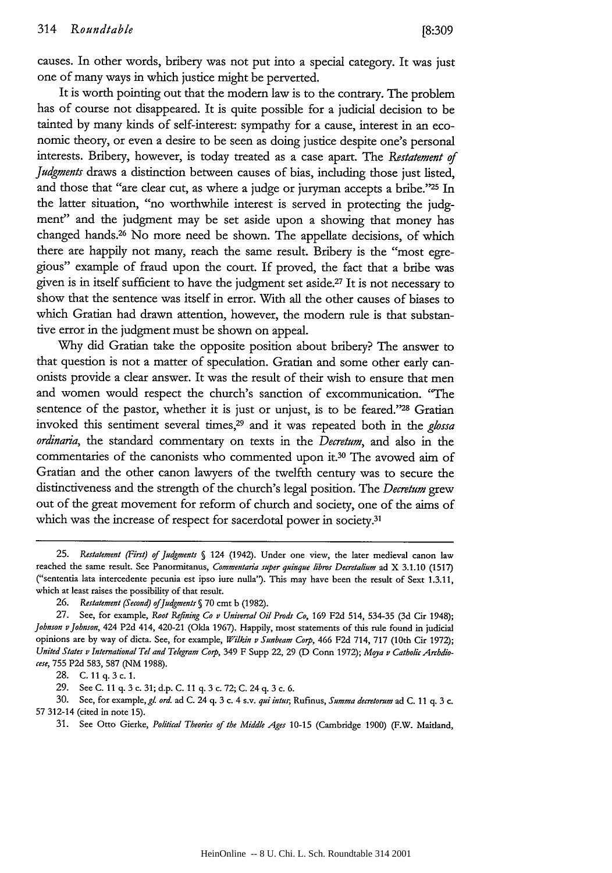causes. In other words, bribery was not put into a special category. It was just one of many ways in which justice might be perverted.

It is worth pointing out that the modern law is to the contrary. The problem has of course not disappeared. It is quite possible for a judicial decision to be tainted by many kinds of self-interest: sympathy for a cause, interest in an economic theory, or even a desire to be seen as doing justice despite one's personal interests. Bribery, however, is today treated as a case apart. The *Restatement of Judgments* draws a distinction between causes of bias, including those just listed, and those that "are clear cut, as where a judge or juryman accepts a bribe."<sup>25</sup> In the latter situation, "no worthwhile interest is served in protecting the judgment" and the judgment may be set aside upon a showing that money has changed hands.26 No more need be shown. The appellate decisions, of which there are happily not many, reach the same result. Bribery is the "most egregious" example of fraud upon the court. If proved, the fact that a bribe was given is in itself sufficient to have the judgment set aside.<sup>27</sup> It is not necessary to show that the sentence was itself in error. With all the other causes of biases to which Gratian had drawn attention, however, the modem rule is that substantive error in the judgment must be shown on appeal.

Why did Gratian take the opposite position about bribery? The answer to that question is not a matter of speculation. Gratian and some other early canonists provide a dear answer. It was the result of their wish to ensure that men and women would respect the church's sanction of excommunication. "The sentence of the pastor, whether it is just or unjust, is to be feared."<sup>28</sup> Gratian invoked this sentiment several times,<sup>29</sup> and it was repeated both in the *glossa ordinaria,* the standard commentary on texts in the *Decretum,* and also in the commentaries of the canonists who commented upon it.30 The avowed aim of Gratian and the other canon lawyers of the twelfth century was to secure the distinctiveness and the strength of the church's legal position. The *Decretum* grew out of the great movement for reform of church and society, one of the aims of which was the increase of respect for sacerdotal power in society.<sup>31</sup>

28. C.l1q.3c.1.

29. See C. 11 q. 3 c. 31; d.p. C. 11 q. 3 c. 72; C. 24 q. 3 c. 6.

30. See, for example,gl. *ord.* ad C. 24 q. 3 c. 4 s.v. *quiintus,* Rufinus, *Summa decretorum* ad C. 11 q. 3 c. 57 312-14 (cited in note 15).

31. See Otto Gierke, *Political Theories of the Middle Ages* 10-15 (Cambridge **1900)** (F.W. Maidand,

<sup>25.</sup> *Restatement (First) ofJudgments §* 124 (1942). Under one view, the later medieval canon law reached the same result. See Panormitanus, *Commentaria super quinque libros Decretalium* ad X 3.1.10 (1517) ("sententia lata intercedente pecunia **est** ipso iure nulla"). This may have been the result of Sext 1.3.11, which at least raises the possibility of that result.

<sup>26.</sup> *Restatement (Second) ofJudgments §* 70 cmt b (1982).

<sup>27.</sup> See, for example, *Root Refining Co v Universal Oil Prods Co,* 169 F2d 514, 534-35 (3d Cir 1948); *Johnson v Johnson,* 424 P2d 414, 420-21 (Okla 1967). Happily, most statements of this rule found in judicial opinions are by way of dicta. See, for example, *Wilkin v Sunbeam Corp,* 466 F2d 714, 717 (10th Cir 1972); *United States v International Tel and Telegram Corp,* 349 F Supp 22, 29 (D Conn 1972); *Moya v Catholic Arhdiocese,* 755 P2d 583, 587 **(NM** 1988).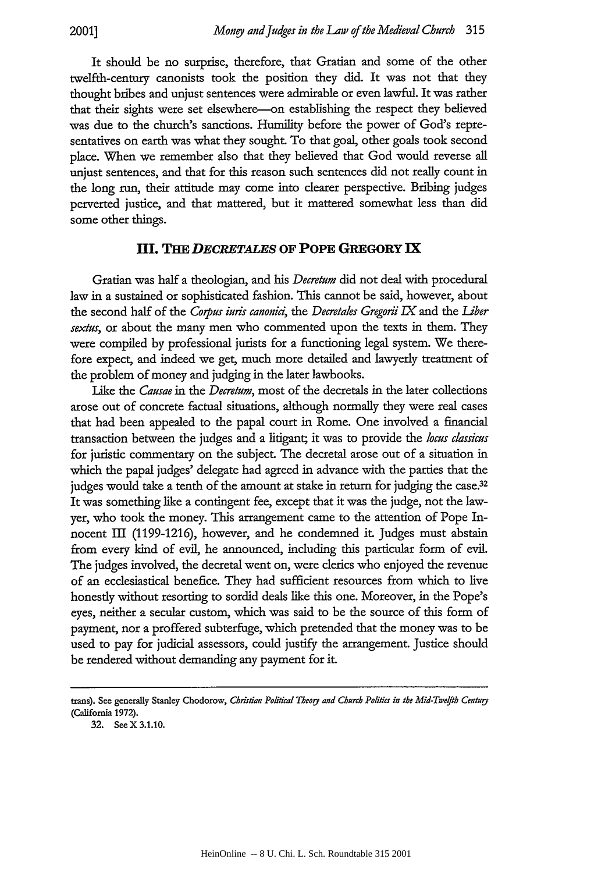It should be no surprise, therefore, that Gratian and some of the other twelfth-century canonists took the position they did. It was not that they thought bribes and unjust sentences were admirable or even lawful. It was rather that their sights were set elsewhere-on establishing the respect they believed was due to the church's sanctions. Humility before the power of God's representatives on earth was what they sought. To that goal, other goals took second place. When we remember also that they believed that God would reverse all unjust sentences, and that for this reason such sentences did not really count in the long run, their attitude may come into dearer perspective. Bribing judges perverted justice, and that mattered, but it mattered somewhat less than did some other things.

## *Ill. THE DECRETALES* **OF POPE GREGORY IX**

Gratian was half a theologian, and his *Decretum* did not deal with procedural law in a sustained or sophisticated fashion. This cannot be said, however, about the second half of the *Corpus iuris canonid, the Decretales Gregorii IX* and the *Liber sextus,* or about the many men who commented upon the texts in them. They were compiled by professional jurists for a functioning legal system. We therefore expect, and indeed we get, much more detailed and lawyerly treatment of the problem of money and judging in the later lawbooks.

Like the *Causae* in the *Decretum,* most of the decretals in the later collections arose out of concrete factual situations, although normally they were real cases that had been appealed to the papal court in Rome. One involved a financial transaction between the judges and a litigant; it was to provide the *locus dassicus* for juristic commentary on the subject. The decretal arose out of a situation in which the papal judges' delegate had agreed in advance with the parties that the judges would take a tenth of the amount at stake in return for judging the case.<sup>32</sup> It was something like a contingent fee, except that it was the judge, not the lawyer, who took the money. This arrangement came to the attention of Pope Innocent **1I1** (1199-1216), however, and he condemned it. Judges must abstain from every kind of evil, he announced, including this particular form of evil. The judges involved, the decretal went on, were clerics who enjoyed the revenue of an ecdesiastical benefice. They had sufficient resources from which to live honestly without resorting to sordid deals like this one. Moreover, in the Pope's eyes, neither a secular custom, which was said to be the source of this form of payment, nor a proffered subterfuge, which pretended that the money was to be used to pay for judicial assessors, could justify the arrangement. Justice should be rendered without demanding any payment for it.

**trans).** See generally Stanley **Chodorow,** *Christian Political Theory and Church Politics in the Mid-Tefb Century* (California **1972).**

**<sup>32.</sup>** See **X** 3.1.10.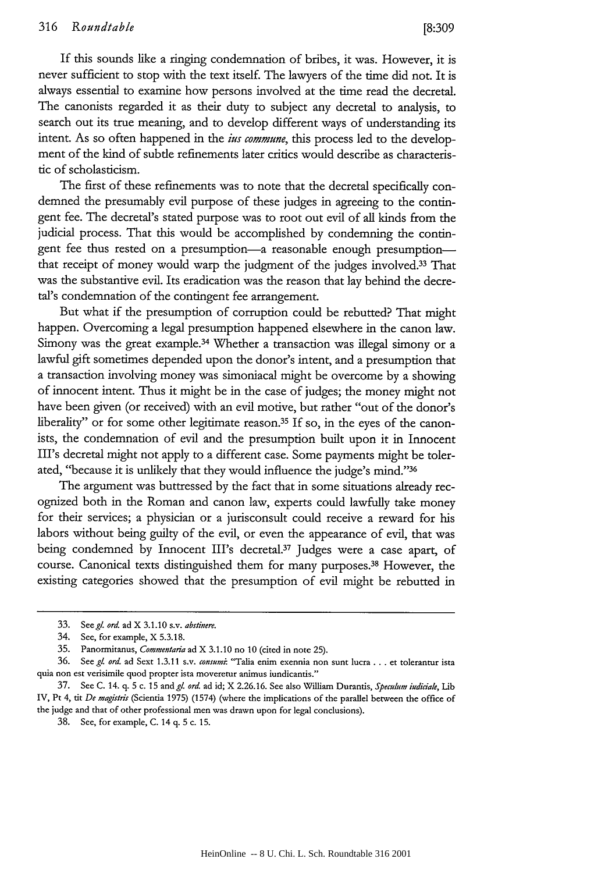If this sounds like a ringing condemnation of bribes, it was. However, it is never sufficient to stop with the text itself. The lawyers of the time did not. It is always essential to examine how persons involved at the time read the decretal. The canonists regarded it as their duty to subject any decretal to analysis, to search out its true meaning, and to develop different ways of understanding its intent. As so often happened in the ius *commune,* this process led to the development of the kind of subtle refinements later critics would describe as characteristic of scholasticism.

The first of these refinements was to note that the decretal specifically condemned the presumably evil purpose of these judges in agreeing to the contingent fee. The decretal's stated purpose was to root out evil of all kinds from the judicial process. That this would be accomplished by condemning the contingent fee thus rested on a presumption-a reasonable enough presumptionthat receipt of money would warp the judgment of the judges involved.33 That was the substantive evil. Its eradication was the reason that lay behind the decretal's condemnation of the contingent fee arrangement.

But what if the presumption of corruption could be rebutted? That might happen. Overcoming a legal presumption happened elsewhere in the canon law. Simony was the great example.<sup>34</sup> Whether a transaction was illegal simony or a lawful gift sometimes depended upon the donor's intent, and a presumption that a transaction involving money was simoniacal might be overcome by a showing of innocent intent. Thus it might be in the case of judges; the money might not have been given (or received) with an evil motive, but rather "out of the donor's liberality" or for some other legitimate reason.<sup>35</sup> If so, in the eyes of the canonists, the condemnation of evil and the presumption built upon it in Innocent III's decretal might not apply to a different case. Some payments might be tolerated, "because it is unlikely that they would influence the judge's mind. '36

The argument was buttressed by the fact that in some situations already recognized both in the Roman and canon law, experts could lawfully take money for their services; a physician or a jurisconsult could receive a reward for his labors without being guilty of the evil, or even the appearance of evil, that was being condemned by Innocent III's decretal.<sup>37</sup> Judges were a case apart, of course. Canonical texts distinguished them for many purposes. 38 However, the existing categories showed that the presumption of evil might be rebutted in

<sup>33.</sup> Seeg/. ord. ad X 3.1.10 s.v. *abstinere.*

<sup>34.</sup> See, for example, X 5.3.18.

<sup>35.</sup> Panormitanus, *Commentaria* ad X 3.1.10 no 10 (cited in note 25).

<sup>36.</sup> See g. *ord.* ad Sext 1.3.11 s.v. *consumzi* "Talia enim exennia non sunt lucra **...** et tolerantur ista quia non est verisimile quod propter ista moveretur animus iundicantis."

<sup>37.</sup> See **C.** 14. q. **5** c. 15 and *g.* ord. ad id; X 2.26.16. See also William Durantis, Speulum *iudidae, ib* IV, Pt 4, tit *De magistris* (Scientia 1975) (1574) (where the implications of the parallel between the office of the judge and that of other professional men was drawn upon for legal conclusions).

<sup>38.</sup> See, for example, C. 14 q. 5 c. 15.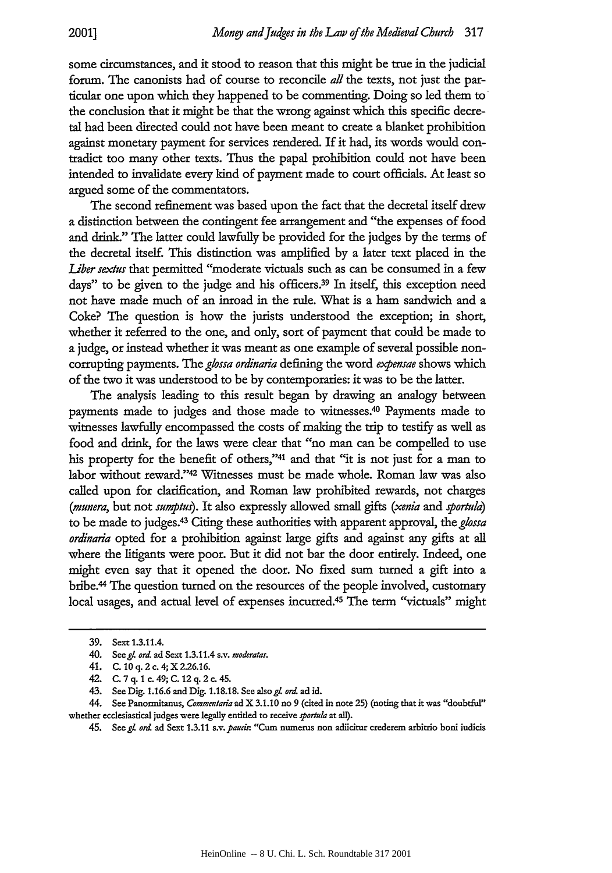some circumstances, and it stood to reason that this might be true in the judicial forum. The canonists had of course to reconcile *all* the texts, not just the particular one upon which they happened to be commenting. Doing so led them to the conclusion that it might be that the wrong against which this specific decretal had been directed could not have been meant to create a blanket prohibition against monetary payment for services rendered. If it had, its words would contradict too many other texts. Thus the papal prohibition could not have been intended to invalidate every kind of payment made to court officials. At least so argued some of the commentators.

The second refinement was based upon the fact that the decretal itself drew a distinction between the contingent fee arrangement and "the expenses of food and drink." The latter could lawfully be provided for the judges **by** the terms of the decretal itself. This distinction was amplified by a later text placed in the *Liber sextus* that permitted "moderate victuals such as can be consumed in a few days" to be given to the judge and his officers.<sup>39</sup> In itself, this exception need not have made much of an inroad in the rule. What is a ham sandwich and a Coke? The question is how the jurists understood the exception; in short, whether it referred to the one, and only, sort of payment that could be made to a judge, or instead whether it was meant as one example of several possible noncorrupting payments. The *glossa ordinaria* defining the word *expensae* shows which of the two it was understood to be by contemporaries: it was to be the latter.

The analysis leading to this result began by drawing an analogy between payments made to judges and those made to witnesses.<sup>40</sup> Payments made to witnesses lawfully encompassed the costs of making the trip to testify as well as food and drink, for the laws were dear that "no man can be compelled to use his property for the benefit of others,"41 and that "it is not just for a man to labor without reward."<sup>42</sup> Witnesses must be made whole. Roman law was also called upon for clarification, and Roman law prohibited rewards, not charges *(munera,* but not *sumptus).* It also expressly allowed small gifts *(xenia and sportula)* to be made to judges. 43 Citing these authorities with apparent approval, the *glossa ordinaria* opted for a prohibition against large gifts and against any gifts at all where the litigants were poor. But it did not bar the door entirely. Indeed, one might even say that it opened the door. No fixed sum turned a gift into a bribe.<sup>44</sup> The question turned on the resources of the people involved, customary local usages, and actual level of expenses incurred.45 The term "victuals" might

45. **See** *g/.* 0rd **ad** Sext **1.3.11** *s.v.paud.* **"Cum numerus** non adilcitur crederem arbitrio boni iudicis

**<sup>39.</sup>** Sext 1.3.11.4.

**<sup>40.</sup>** *Seegl ord.* **ad** Sext 1.3.11.4 **s.v.** *moderatas.*

<sup>41.</sup> **C. 10 q.** 2 c. **4;** X **2.26.16.**

<sup>42.</sup> **C. 7 q. 1** c. 49; **C.** 12 **q.** 2 c. 45.

<sup>43.</sup> See Dig. **1.16.6 and Dig. 1.18.18.** See **alsog/.** ord. **ad** id.

**<sup>44.</sup> See** Panomxitanus, *Commentaria* **ad** X **3.1.10 no 9** (cited in note **25)** (noting that it **was** "doubtful" whether ecclesiastical judges were legally entitled to receive *sportula* at all).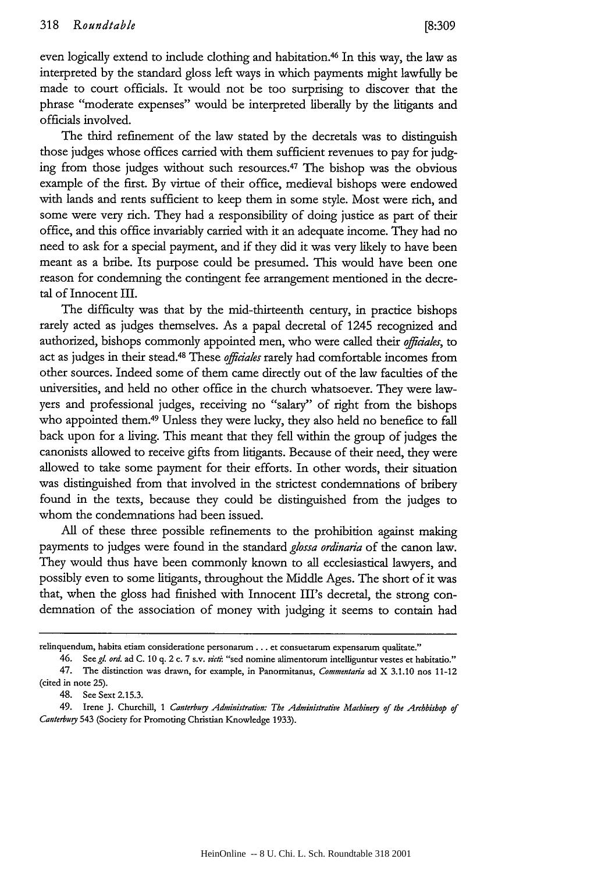even logically extend to include clothing and habitation.46 In this way, the law as interpreted by the standard gloss left ways in which payments might lawfully be made to court officials. It would not be too surprising to discover that the phrase "moderate expenses" would be interpreted liberally by the litigants and officials involved.

The third refinement of the law stated by the decretals was to distinguish those judges whose offices carried with them sufficient revenues to pay for judging from those judges without such resources. 47 The bishop was the obvious example of the first. By virtue of their office, medieval bishops were endowed with lands and rents sufficient to keep them in some style. Most were rich, and some were very rich. They had a responsibility of doing justice as part of their office, and this office invariably carried with it an adequate income. They had no need to ask for a special payment, and if they did it was very likely to have been meant as a bribe. Its purpose could be presumed. This would have been one reason for condemning the contingent fee arrangement mentioned in the decretal of Innocent III.

The difficulty was that by the mid-thirteenth century, in practice bishops rarely acted as judges themselves. As a papal decretal of 1245 recognized and authorized, bishops commonly appointed men, who were called their *officiales,* to act as judges in their stead.48 These *offidales* rarely had comfortable incomes from other sources. Indeed some of them came directly out of the law faculties of the universities, and held no other office in the church whatsoever. They were lawyers and professional judges, receiving no "salary" of right from the bishops who appointed them.<sup>49</sup> Unless they were lucky, they also held no benefice to fall back upon for a living. This meant that they fell within the group of judges the canonists allowed to receive gifts from litigants. Because of their need, they were allowed to take some payment for their efforts. In other words, their situation was distinguished from that involved in the strictest condemnations of bribery found in the texts, because they could be distinguished from the judges to whom the condemnations had been issued.

All of these three possible refinements to the prohibition against making payments to judges were found in the standard *glossa ordinaria* of the canon law. They would thus have been commonly known to all ecclesiastical lawyers, and possibly even to some litigants, throughout the Middle Ages. The short of it was that, when the gloss had finished with Innocent III's decretal, the strong condemnation of the association of money with judging it seems to contain had

relinquendum, habita **etiam** consideratione personarum. **..** et consuetarum expensarum qualitate."

<sup>46.</sup> See gl. ord. ad C. 10 q. 2 c. 7 s.v. victi: "sed nomine alimentorum intelliguntur vestes et habitatio." 47. The distinction was drawn, for example, in Panormitanus, Commentaria ad X **3.1.10** nos 11-12 (cited in note **25).**

<sup>48.</sup> **See** Sext **2.15.3.**

<sup>49.</sup> Irene J. Churchill, **1** Canterbury *Administration: The Administrative Machinery of the Arhbishop of* Canterbury **543** (Society for Promoting Christian Knowledge **1933).**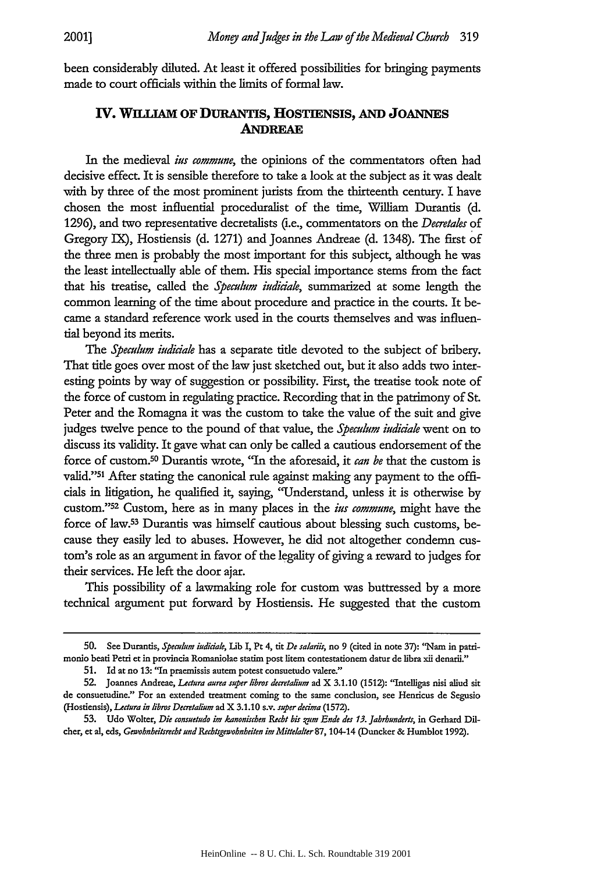been considerably diluted. At least it offered possibilities for bringing payments made to court officials within the limits of formal law.

# **IV. WILLIAM OF DuRANTis, HOSTIENSIS, AND JOANNES ANDREAE**

In the medieval *ius commune,* the opinions of the commentators often had decisive effect. It is sensible therefore to take a look at the subject as it was dealt with by three of the most prominent jurists from the thirteenth century. I have chosen the most influential proceduralist of the time, William Durantis (d. 1296), and two representative decretalists (i.e., commentators on the *Decretaks* of Gregory IX), Hostiensis (d. 1271) and Joannes Andreae (d. 1348). The first of the three men is probably the most important for this subject, although he was the least intellectually able of them. His special importance stems from the fact that his treatise, called the *Speculum iudidak,* summarized at some length the common learning of the time about procedure and practice in the courts. It became a standard reference work used in the courts themselves and was influential beyond its merits.

*The Speculum iudidak* has a separate title devoted to the subject of bribery. That tide goes over most of the law just sketched out, but it also adds two interesting points by way of suggestion or possibility. First, the treatise took note of the force of custom in regulating practice. Recording that in the patrimony of St. Peter and the Romagna it was the custom to take the value of the suit and give judges twelve pence to the pound of that value, the *Speculum iudiciale* went on to discuss its validity. It gave what can only be called a cautious endorsement of the force of custom.<sup>50</sup> Durantis wrote, "In the aforesaid, it *can be* that the custom is valid."51 After stating the canonical rule against making any payment to the officials in litigation, he qualified it, saying, "Understand, unless it is otherwise by custom."<sup>52</sup> Custom, here as in many places in the *ius commune*, might have the force of law.<sup>53</sup> Durantis was himself cautious about blessing such customs, because they easily led to abuses. However, he did not altogether condemn custom's role as an argument in favor of the legality of giving a reward to judges for their services. He left the door ajar.

This possibility of a lawmaking role for custom was buttressed by a more technical argument put forward by Hostiensis. He suggested that the custom

**<sup>50.</sup>** See Durantis, *Speculum iudidak, Lib* **I,** Pt **4,** tit *De salaiiis,* **no 9** (cited in note **37): "Nam** in **pattimonio** bead **Petri** et in provincia **Romaniolae** statim post **litem** contestationern datur de libra xii denarii."

**<sup>51.</sup>** Id **at no 13:** "In praemissis autem potest consuetudo valere"

**<sup>52.</sup>** Joannes Andreae, *Ledura aurea super libros decretalium* **ad** X **3.1.10 (1512):** "Intelligas nisi aliud sit de consuetudine." **For an** extended treatment coming **to** the same conclusion, see Henricus de Segusio (Hostiensis), *Letura in libros Deaetalium* **ad** X **3.1.10** s.v. *super dedma* **(1572).**

<sup>53.</sup> Udo Wolter, *Die consuetudo im kanonischen Recht bis zum Ende des 13. Jahrhunderts*, in Gerhard Dilcher, et **al,** eds, *Gewobnhdisrecht und Rechtrsgewohnheiten im Mittialter87,* 104-14 (Duncker **&** Humblot **1992).**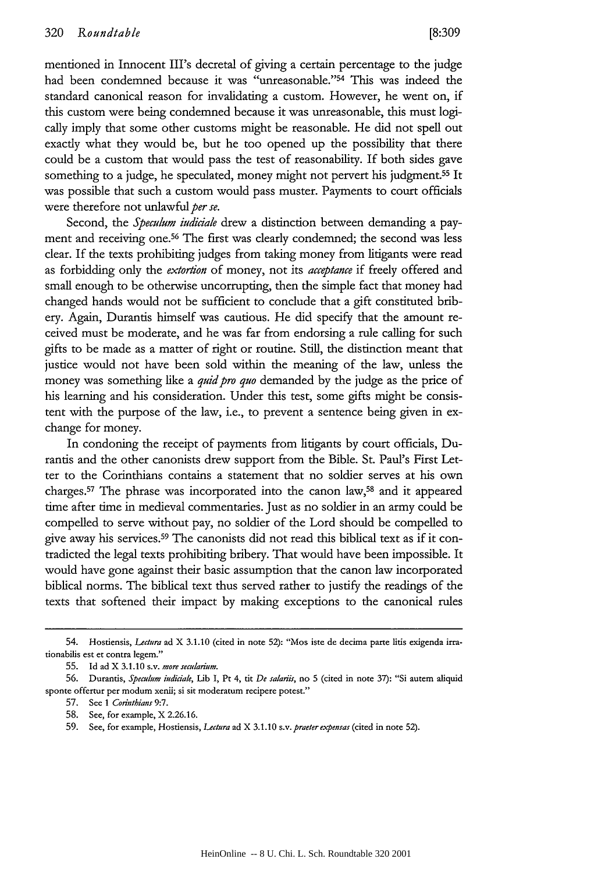mentioned in Innocent III's decretal of giving a certain percentage to the judge had been condemned because it was "unreasonable."<sup>54</sup> This was indeed the standard canonical reason for invalidating a custom. However, he went on, if this custom were being condemned because it was unreasonable, this must logically imply that some other customs might be reasonable. He did not spell out exactly what they would be, but he too opened up the possibility that there could be a custom that would pass the test of reasonability. If both sides gave something to a judge, he speculated, money might not pervert his judgment.<sup>55</sup> It was possible that such a custom would pass muster. Payments to court officials were therefore not unlawful *per se.*

Second, the *Speculum iudiciale* drew a distinction between demanding a payment and receiving one.56 The first was clearly condemned; the second was less clear. If the texts prohibiting judges from taking money from litigants were read as forbidding only the *extortion* of money, not its *acceptance* if freely offered and small enough to be otherwise uncorrupting, then the simple fact that money had changed hands would not be sufficient to conclude that a gift constituted bribery. Again, Durantis himself was cautious. He did specify that the amount received must be moderate, and he was far from endorsing a rule calling for such gifts to be made as a matter of right or routine. Still, the distinction meant that justice would not have been sold within the meaning of the law, unless the money was something like a *quid pro quo* demanded by the judge as the price of his learning and his consideration. Under this test, some gifts might be consistent with the purpose of the law, i.e., to prevent a sentence being given in exchange for money.

In condoning the receipt of payments from litigants by court officials, Durantis and the other canonists drew support from the Bible. St. Paul's First Letter to the Corinthians contains a statement that no soldier serves at his own charges. 57 The phrase was incorporated into the canon law,58 and it appeared time after time in medieval commentaries. Just as no soldier in an army could be compelled to serve without pay, no soldier of the Lord should be compelled to give away his services.59 The canonists did not read this biblical text as if it contradicted the legal texts prohibiting bribery. That would have been impossible. It would have gone against their basic assumption that the canon law incorporated biblical norms. The biblical text thus served rather to justify the readings of the texts that softened their impact by making exceptions to the canonical rules

<sup>54.</sup> Hostiensis, *Lectura* ad X **3.1.10** (cited in note **52):** "Mos iste de decima parte litis exigenda irrationabilis est et contra legem."

**<sup>55.</sup> Id** ad X **3.1.10** s.v. more *secularium.*

**<sup>56.</sup>** Durantis, *Speculum iudidale, Lib* **I,** Pt 4, tit *De* salariis, no **5** (cited in note **37):** "Si autem aliquid sponte offertur per modum xenii; si sit moderatum recipere potest."

**<sup>57.</sup>** See *1 Corinthians* **9:7.**

**<sup>58.</sup>** See, for example, X **2.26.16.**

**<sup>59.</sup>** See, for example, Hostiensis, *Lectura* ad X **3.1.10** *s.v.praeterexpensas* (cited in note **52).**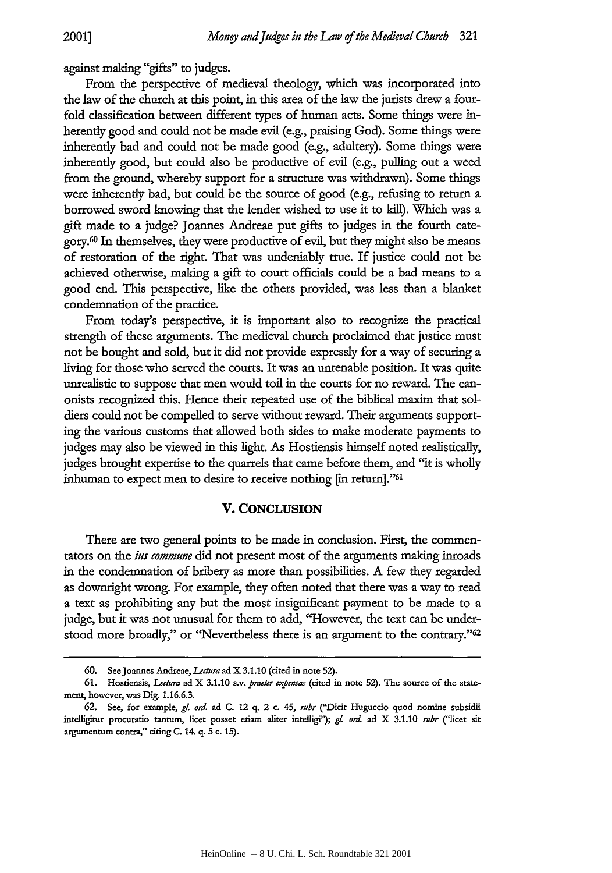against making "gifts" to judges.

From the perspective of medieval theology, which was incorporated into the law of the church at this point, in this area of the law the jurists drew a fourfold classification between different types of human acts. Some things were inherently good and could not be made evil (e.g., praising God). Some things were inherently bad and could not be made good (e.g., adultery). Some things were inherently good, but could also be productive of evil (e.g., pulling out a weed from the ground, whereby support for a structure was withdrawn). Some things were inherently bad, but could be the source of good (e.g., refusing to return a borrowed sword knowing that the lender wished to use it to kill). Which was a gift made to a judge? Joannes Andreae put gifts to judges in the fourth category.60 In themselves, they were productive of evil, but they might also be means of restoration of the right. That was undeniably true. If justice could not be achieved otherwise, making a gift to court officials could be a bad means to a good end. This perspective, like the others provided, was less than a blanket condemnation of the practice.

From today's perspective, it is important also to recognize the practical strength of these arguments. The medieval church proclaimed that justice must not be bought and sold, but it did not provide expressly for a way of securing a living for those who served the courts. It was an untenable position. It was quite unrealistic to suppose that men would toil in the courts for no reward. The canonists recognized this. Hence their repeated use of the biblical maxim that soldiers could not be compelled to serve without reward. Their arguments supporting the various customs that allowed both sides to make moderate payments to judges may also be viewed in this light. As Hostiensis himself noted realistically, judges brought expertise to the quarrels that came before them, and "it is wholly inhuman to expect men to desire to receive nothing [in return]."<sup>61</sup>

#### **V. CONCLUSION**

There are two general points to be made in conclusion. First, the commentators on the *ius commune* did not present most of the arguments making inroads in the condemnation of bribery as more than possibilities. A few they regarded as downright wrong. For example, they often noted that there was a way to read a text as prohibiting any but the most insignificant payment to be made to a judge, but it was not unusual for them to add, "However, the text can be understood more broadly," or "Nevertheless there is an argument to the contrary."<sup>62</sup>

**<sup>60.</sup>** See Joannes Andreae, *Leaura* ad X **3.1.10** (cited in note **52).**

**<sup>61.</sup>** Hostiensis, *Lectura* ad X 3.1.10 s.v. praeter *epensas* (cited in note **52).** The source of the statement however, **was** Dig. **1.16.6.3.**

**<sup>62.</sup>** See, for example, *g/. ord.* ad C. 12 **q.** 2 **c.** 45, *rubr* **('Didt** Huguccio quod nomine subsidii intelligitur procuratio tantum, licet posset etiam aliter intelligi"); **g.** *ord.* ad X **3.1.10** *ribr* **("licet** sit argumentumn contra," citing C. 14. **q. 5 c. 15).**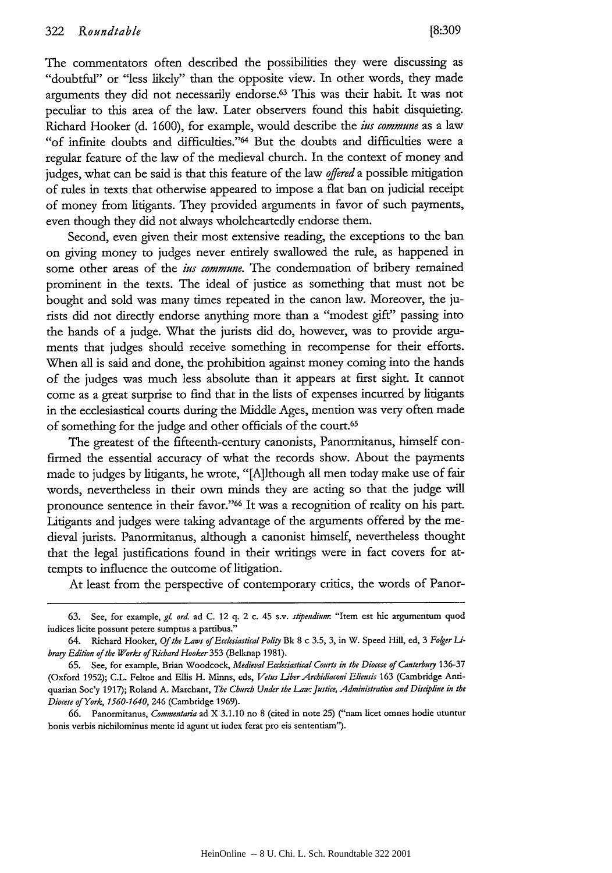The commentators often described the possibilities they were discussing as "doubtful" or "less likely" than the opposite view. In other words, they made arguments they did not necessarily endorse.<sup>63</sup> This was their habit. It was not peculiar to this area of the law. Later observers found this habit disquieting. Richard Hooker (d. 1600), for example, would describe the *ius commune* as a law "of infinite doubts and difficulties." 64 But the doubts and difficulties were a regular feature of the law of the medieval church. In the context of money and judges, what can be said is that this feature of the law *offered* a possible mitigation of rules in texts that otherwise appeared to impose a flat ban on judicial receipt of money from litigants. They provided arguments in favor of such payments, even though they did not always wholeheartedly endorse them.

Second, even given their most extensive reading, the exceptions to the ban on giving money to judges never entirely swallowed the rule, as happened in some other areas of the *ius commune.* The condemnation of bribery remained prominent in the texts. The ideal of justice as something that must not be bought and sold was many times repeated in the canon law. Moreover, the jurists did not directly endorse anything more than a "modest gift" passing into the hands of a judge. What the jurists did do, however, was to provide arguments that judges should receive something in recompense for their efforts. When all is said and done, the prohibition against money coming into the hands of the judges was much less absolute than it appears at first sight. It cannot come as a great surprise to find that in the lists of expenses incurred by litigants in the ecclesiastical courts during the Middle Ages, mention was very often made of something for the judge and other officials of the court.65

The greatest of the fifteenth-century canonists, Panormitanus, himself confirmed the essential accuracy of what the records show. About the payments made to judges by litigants, he wrote, "[A]lthough all men today make use of fair words, nevertheless in their own minds they are acting so that the judge will pronounce sentence in their favor."<sup>66</sup> It was a recognition of reality on his part. Litigants and judges were taking advantage of the arguments offered by the medieval jurists. Panormitanus, although a canonist himself, nevertheless thought that the legal justifications found in their writings were in fact covers for attempts to influence the outcome of litigation.

At least from the perspective of contemporary critics, the words of Panor-

**<sup>63.</sup>** See, for example, *gl. ord.* ad **C.** 12 **q.** 2 c. 45 s.v. *stipendiumn.* "Item est hic argumentum quod iudices licite possunt petere sumptus a partibus."

<sup>64.</sup> Richard Hooker, Of the Laws of Ecclesiastical Polity Bk 8 c 3.5, 3, in W. Speed Hill, ed, 3 Folger Li*bray Edition of the Works of Richard Hooker* **353** (Belknap **1981).**

**<sup>65.</sup>** See, for example, Brian Woodcock, *Medieval Ecclesiastical Courts in the Diocese of Canterbury* **136-37** (Oxford **1952); C.L.** Feltoe and Ellis H. Minns, eds, *Vetus LiherArcbidiaconi Eliensis* **163** (Cambridge **And**quarian Soc'y **1917);** Roland **A.** Marchant, *The Church Under the Law: Justice, Administration and Discipline in the Diocese of York, 1560-1640,* 246 (Cambridge **1969).**

**<sup>66.</sup>** Panormitanus, *Commentaria* ad X **3.1.10** no **8** (cited in note **25) ("nam** licet omnes hodie utuntur bonis verbis nichilominus mente id agunt ut iudex ferat pro eis sententiam").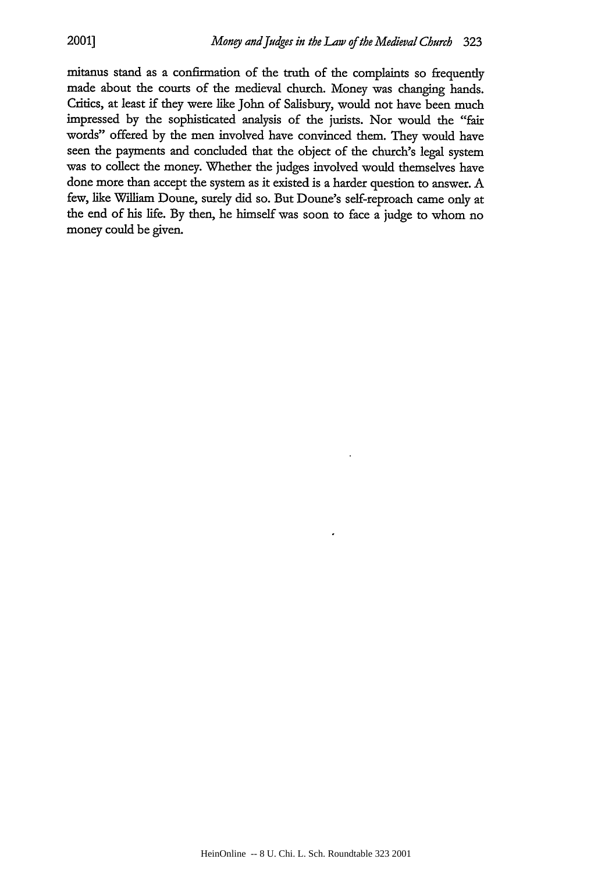mitanus stand as a confirmation of the truth of the complaints so frequently made about the courts of the medieval church. Money was changing hands. Critics, at least if they were like John of Salisbury, would not have been much impressed by the sophisticated analysis of the jurists. Nor would the "fair words" offered by the men involved have convinced them. They would have seen the payments and concluded that the object of the church's legal system was to collect the money. Whether the judges involved would themselves have done more than accept the system as it existed is a harder question to answer. A few, like William Doune, surely did so. But Doune's self-reproach came only at the end of his life. By then, he himself was soon to face a judge to whom no money could be given.